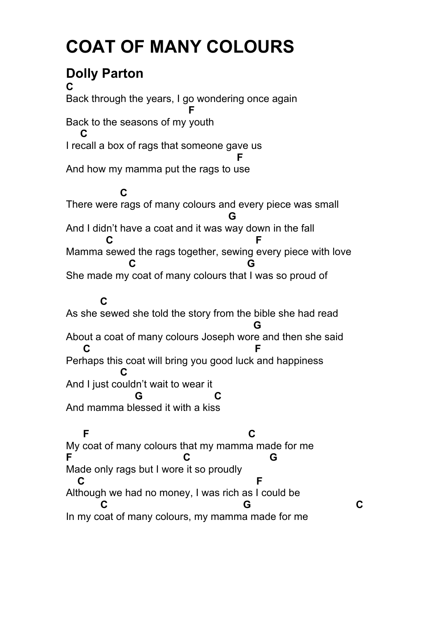## **COAT OF MANY COLOURS**

## **Dolly Parton**

**C** Back through the years, I go wondering once again **F F F F** Back to the seasons of my youth **C** I recall a box of rags that someone gave us **F**  $\mathbf{F}$ And how my mamma put the rags to use **C** There were rags of many colours and every piece was small **G** And I didn't have a coat and it was way down in the fall **C** F Mamma sewed the rags together, sewing every piece with love  **C G** She made my coat of many colours that I was so proud of  **C** As she sewed she told the story from the bible she had read **G** About a coat of many colours Joseph wore and then she said  **C F** Perhaps this coat will bring you good luck and happiness **C** And I just couldn't wait to wear it **G C** And mamma blessed it with a kiss **F** C My coat of many colours that my mamma made for me **F C G**

Made only rags but I wore it so proudly  **C F** Although we had no money, I was rich as I could be **C G C** In my coat of many colours, my mamma made for me